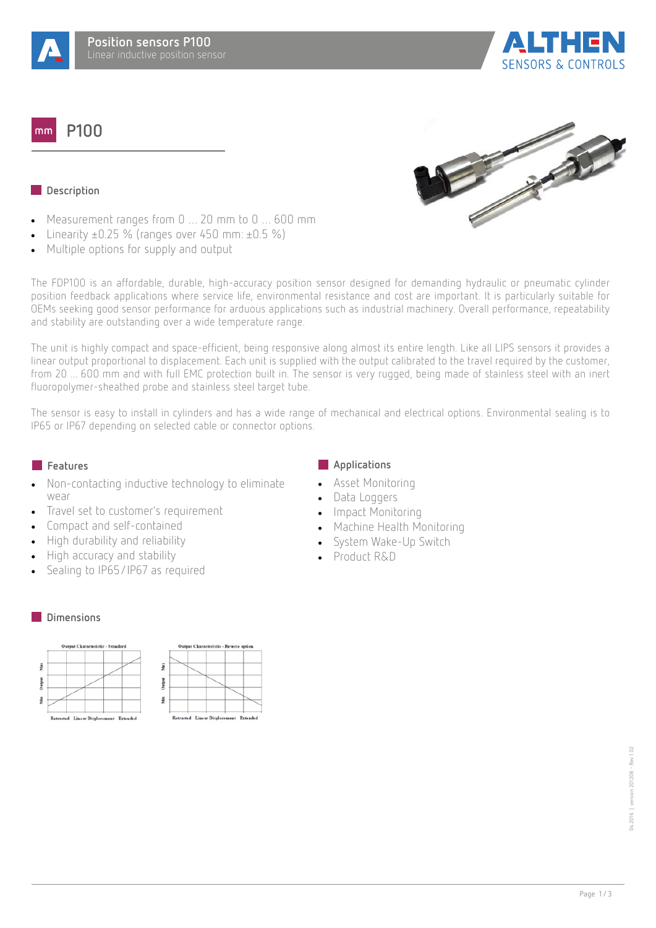

**P100**  $mm$ 



**SENSORS & CONTROLS** 

## **Description**

- · Measurement ranges from 0 … 20 mm to 0 … 600 mm
- Linearity  $\pm 0.25$  % (ranges over 450 mm:  $\pm 0.5$  %)
- · Multiple options for supply and output

The FDP100 is an affordable, durable, high-accuracy position sensor designed for demanding hydraulic or pneumatic cylinder position feedback applications where service life, environmental resistance and cost are important. It is particularly suitable for OEMs seeking good sensor performance for arduous applications such as industrial machinery. Overall performance, repeatability and stability are outstanding over a wide temperature range.

The unit is highly compact and space-efficient, being responsive along almost its entire length. Like all LIPS sensors it provides a linear output proportional to displacement. Each unit is supplied with the output calibrated to the travel required by the customer, from 20 ... 600 mm and with full EMC protection built in. The sensor is very rugged, being made of stainless steel with an inert fluoropolymer-sheathed probe and stainless steel target tube.

The sensor is easy to install in cylinders and has a wide range of mechanical and electrical options. Environmental sealing is to IP65 or IP67 depending on selected cable or connector options.

- Non-contacting inductive technology to eliminate wear
- Travel set to customer's requirement
- · Compact and self-contained
- · High durability and reliability
- · High accuracy and stability
- Sealing to IP65/IP67 as required

#### **Dimensions**



# **Features Applications**

- Asset Monitoring
- Data Loggers
- · Impact Monitoring
- · Machine Health Monitoring
- System Wake-Up Switch
- · Product R&D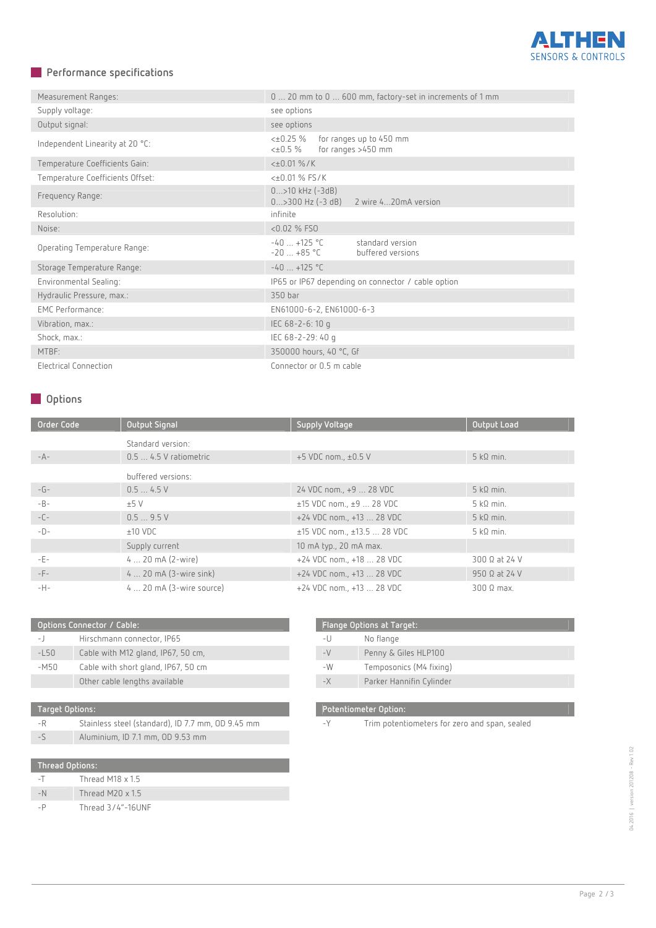

# **Performance specifications**

| Measurement Ranges:              | 0  20 mm to 0  600 mm, factory-set in increments of 1 mm                 |  |  |
|----------------------------------|--------------------------------------------------------------------------|--|--|
| Supply voltage:                  | see options                                                              |  |  |
| Output signal:                   | see options                                                              |  |  |
| Independent Linearity at 20 °C:  | <±0.25 %<br>for ranges up to 450 mm<br>for ranges >450 mm<br><±0.5 %     |  |  |
| Temperature Coefficients Gain:   | $<\pm 0.01 \%$ /K                                                        |  |  |
| Temperature Coefficients Offset: | <±0.01 % FS/K                                                            |  |  |
| Frequency Range:                 | $0$ >10 kHz (-3dB)<br>$0$ >300 Hz (-3 dB)<br>2 wire 420mA version        |  |  |
| Resolution:                      | infinite                                                                 |  |  |
| Noise:                           | $< 0.02$ % FSO                                                           |  |  |
| Operating Temperature Range:     | $-40$ +125 °C<br>standard version<br>$-20$ $+85$ °C<br>buffered versions |  |  |
| Storage Temperature Range:       | $-40$ +125 °C                                                            |  |  |
| Environmental Sealing:           | IP65 or IP67 depending on connector / cable option                       |  |  |
| Hydraulic Pressure, max.:        | 350 bar                                                                  |  |  |
| <b>EMC Performance:</b>          | EN61000-6-2, EN61000-6-3                                                 |  |  |
| Vibration, max.:                 | IEC 68-2-6:10 q                                                          |  |  |
| Shock, max.:                     | IEC 68-2-29: 40 g                                                        |  |  |
| MTBF:                            | 350000 hours, 40 °C, Gf                                                  |  |  |
| Electrical Connection            | Connector or 0.5 m cable                                                 |  |  |

# **Options**

| Order Code   | <b>Output Signal</b>      | <b>Supply Voltage</b>       | <b>Output Load</b>   |
|--------------|---------------------------|-----------------------------|----------------------|
|              | Standard version:         |                             |                      |
| $-A-$        | $0.5$ 4.5 V ratiometric   | +5 VDC nom., ±0.5 V         | $5 k\Omega$ min.     |
|              | buffered versions:        |                             |                      |
| $-G-$        | 0.54.5V                   | 24 VDC nom., +9  28 VDC     | $5 k\Omega$ min.     |
| $-B -$       | ±5V                       | $±15$ VDC nom., $±9$ 28 VDC | $5$ kΩ min.          |
| $-\bigcup -$ | 0.59.5V                   | +24 VDC nom., +13  28 VDC   | $5 k\Omega$ min.     |
| $-D-$        | $±10$ VDC                 | ±15 VDC nom., ±13.5  28 VDC | $5 k\Omega$ min.     |
|              | Supply current            | 10 mA typ., 20 mA max.      |                      |
| -E-          | $4 20 mA (2-wire)$        | +24 VDC nom., +18  28 VDC   | 300 Ω at 24 V        |
| -F-          | $4 20$ mA $(3-wire sink)$ | +24 VDC nom., +13  28 VDC   | $950 \Omega$ at 24 V |
| $-H-$        | $4$ 20 mA (3-wire source) | +24 VDC nom., +13  28 VDC   | $300 \Omega$ max.    |

| Options Connector / Cable: |                                     |  |
|----------------------------|-------------------------------------|--|
| $-1$                       | Hirschmann connector, IP65          |  |
| $-L50$                     | Cable with M12 gland, IP67, 50 cm,  |  |
| $-M50$                     | Cable with short gland, IP67, 50 cm |  |
|                            | Other cable lengths available       |  |
|                            |                                     |  |

| Target Options:        |                                                   |  |
|------------------------|---------------------------------------------------|--|
| -R                     | Stainless steel (standard), ID 7.7 mm, OD 9.45 mm |  |
|                        | Aluminium, ID 7.1 mm, OD 9.53 mm                  |  |
|                        |                                                   |  |
| <b>Thread Options:</b> |                                                   |  |
|                        | Thread M18 x 1 5                                  |  |

| $-1$ | Thread M18 $\times$ 1.5 |
|------|-------------------------|
| $-N$ | Thread M20 $\times$ 1.5 |
| - P  | Thread 3/4"-16UNF       |

| <b>Flange Options at Target:</b> |                          |  |
|----------------------------------|--------------------------|--|
| -U                               | No flange                |  |
| $-V$                             | Penny & Giles HLP100     |  |
| $-W$                             | Temposonics (M4 fixing)  |  |
| $-\times$                        | Parker Hannifin Cylinder |  |

### **Potentiometer Option:**

-Y Trim potentiometers for zero and span, sealed